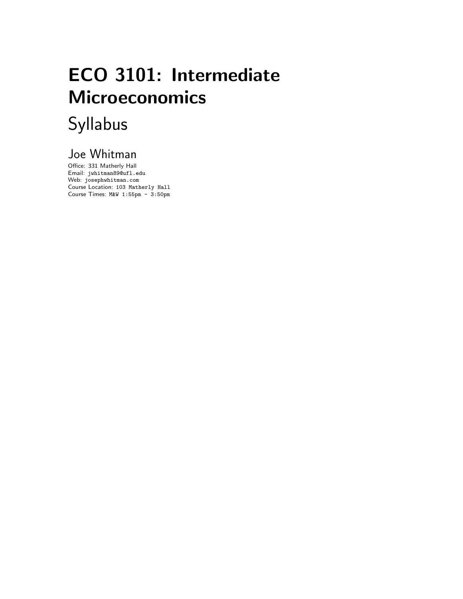# ECO 3101: Intermediate Microeconomics Syllabus

## Joe Whitman

Office: 331 Matherly Hall Email: jwhitman89@ufl.edu Web: josephwhitman.com Course Location: 103 Matherly Hall Course Times: M&W 1:55pm - 3:50pm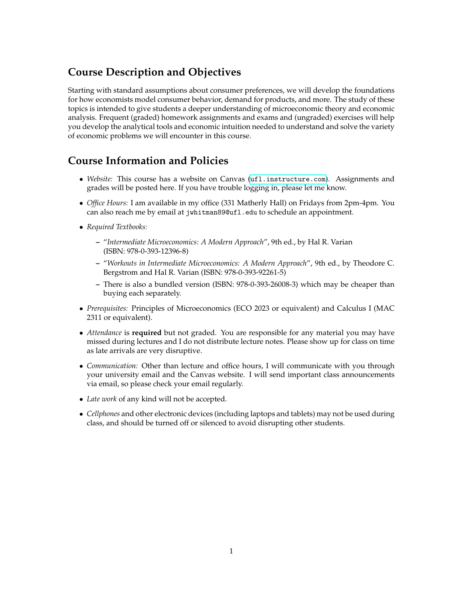## **Course Description and Objectives**

Starting with standard assumptions about consumer preferences, we will develop the foundations for how economists model consumer behavior, demand for products, and more. The study of these topics is intended to give students a deeper understanding of microeconomic theory and economic analysis. Frequent (graded) homework assignments and exams and (ungraded) exercises will help you develop the analytical tools and economic intuition needed to understand and solve the variety of economic problems we will encounter in this course.

### **Course Information and Policies**

- *Website:* This course has a website on Canvas (<ufl.instructure.com>). Assignments and grades will be posted here. If you have trouble logging in, please let me know.
- *Office Hours:* I am available in my office (331 Matherly Hall) on Fridays from 2pm-4pm. You can also reach me by email at jwhitman89@ufl.edu to schedule an appointment.
- *Required Textbooks:*
	- **–** "*Intermediate Microeconomics: A Modern Approach*", 9th ed., by Hal R. Varian (ISBN: 978-0-393-12396-8)
	- **–** "*Workouts in Intermediate Microeconomics: A Modern Approach*", 9th ed., by Theodore C. Bergstrom and Hal R. Varian (ISBN: 978-0-393-92261-5)
	- **–** There is also a bundled version (ISBN: 978-0-393-26008-3) which may be cheaper than buying each separately.
- *Prerequisites:* Principles of Microeconomics (ECO 2023 or equivalent) and Calculus I (MAC 2311 or equivalent).
- *Attendance* is **required** but not graded. You are responsible for any material you may have missed during lectures and I do not distribute lecture notes. Please show up for class on time as late arrivals are very disruptive.
- *Communication:* Other than lecture and office hours, I will communicate with you through your university email and the Canvas website. I will send important class announcements via email, so please check your email regularly.
- *Late work* of any kind will not be accepted.
- *Cellphones* and other electronic devices (including laptops and tablets) may not be used during class, and should be turned off or silenced to avoid disrupting other students.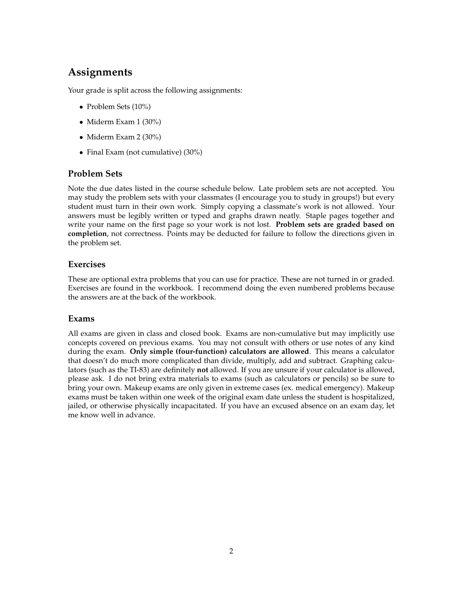## **Assignments**

Your grade is split across the following assignments:

- Problem Sets (10%)
- Miderm Exam 1 (30%)
- Miderm Exam 2 (30%)
- Final Exam (not cumulative) (30%)

#### **Problem Sets**

Note the due dates listed in the course schedule below. Late problem sets are not accepted. You may study the problem sets with your classmates (I encourage you to study in groups!) but every student must turn in their own work. Simply copying a classmate's work is not allowed. Your answers must be legibly written or typed and graphs drawn neatly. Staple pages together and write your name on the first page so your work is not lost. **Problem sets are graded based on completion**, not correctness. Points may be deducted for failure to follow the directions given in the problem set.

#### **Exercises**

These are optional extra problems that you can use for practice. These are not turned in or graded. Exercises are found in the workbook. I recommend doing the even numbered problems because the answers are at the back of the workbook.

#### **Exams**

All exams are given in class and closed book. Exams are non-cumulative but may implicitly use concepts covered on previous exams. You may not consult with others or use notes of any kind during the exam. **Only simple (four-function) calculators are allowed**. This means a calculator that doesn't do much more complicated than divide, multiply, add and subtract. Graphing calculators (such as the TI-83) are definitely **not** allowed. If you are unsure if your calculator is allowed, please ask. I do not bring extra materials to exams (such as calculators or pencils) so be sure to bring your own. Makeup exams are only given in extreme cases (ex. medical emergency). Makeup exams must be taken within one week of the original exam date unless the student is hospitalized, jailed, or otherwise physically incapacitated. If you have an excused absence on an exam day, let me know well in advance.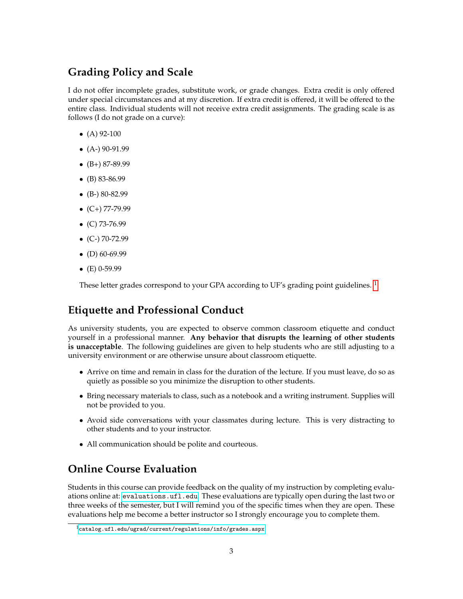## **Grading Policy and Scale**

I do not offer incomplete grades, substitute work, or grade changes. Extra credit is only offered under special circumstances and at my discretion. If extra credit is offered, it will be offered to the entire class. Individual students will not receive extra credit assignments. The grading scale is as follows (I do not grade on a curve):

- $(A)$  92-100
- $\bullet$  (A-) 90-91.99
- $\bullet$  (B+) 87-89.99
- (B) 83-86.99
- $\bullet$  (B-) 80-82.99
- $\bullet$  (C+) 77-79.99
- $\bullet$  (C) 73-76.99
- $\bullet$  (C-) 70-72.99
- $\bullet$  (D) 60-69.99
- $(E)$  0-59.99

These letter grades correspond to your GPA according to UF's grading point guidelines.<sup>[1](#page-3-0)</sup>

#### **Etiquette and Professional Conduct**

As university students, you are expected to observe common classroom etiquette and conduct yourself in a professional manner. **Any behavior that disrupts the learning of other students is unacceptable**. The following guidelines are given to help students who are still adjusting to a university environment or are otherwise unsure about classroom etiquette.

- Arrive on time and remain in class for the duration of the lecture. If you must leave, do so as quietly as possible so you minimize the disruption to other students.
- Bring necessary materials to class, such as a notebook and a writing instrument. Supplies will not be provided to you.
- Avoid side conversations with your classmates during lecture. This is very distracting to other students and to your instructor.
- All communication should be polite and courteous.

### **Online Course Evaluation**

Students in this course can provide feedback on the quality of my instruction by completing evaluations online at: <evaluations.ufl.edu>. These evaluations are typically open during the last two or three weeks of the semester, but I will remind you of the specific times when they are open. These evaluations help me become a better instructor so I strongly encourage you to complete them.

<span id="page-3-0"></span><sup>1</sup><catalog.ufl.edu/ugrad/current/regulations/info/grades.aspx>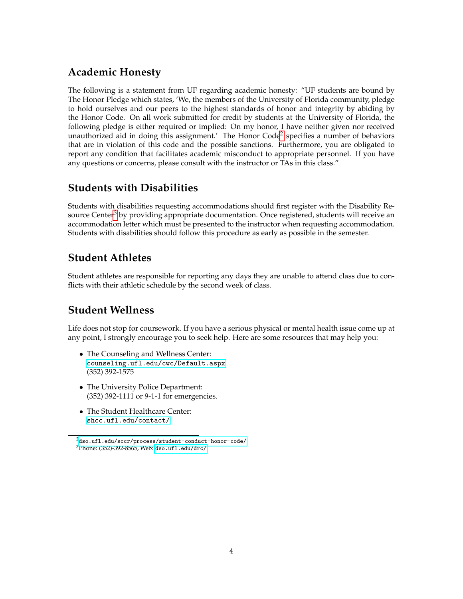### **Academic Honesty**

The following is a statement from UF regarding academic honesty: "UF students are bound by The Honor Pledge which states, 'We, the members of the University of Florida community, pledge to hold ourselves and our peers to the highest standards of honor and integrity by abiding by the Honor Code. On all work submitted for credit by students at the University of Florida, the following pledge is either required or implied: On my honor, I have neither given nor received unauthorized aid in doing this assignment.' The Honor Code<sup>[2](#page-4-0)</sup> specifies a number of behaviors that are in violation of this code and the possible sanctions. Furthermore, you are obligated to report any condition that facilitates academic misconduct to appropriate personnel. If you have any questions or concerns, please consult with the instructor or TAs in this class."

#### **Students with Disabilities**

Students with disabilities requesting accommodations should first register with the Disability Re-source Center<sup>[3](#page-4-1)</sup> by providing appropriate documentation. Once registered, students will receive an accommodation letter which must be presented to the instructor when requesting accommodation. Students with disabilities should follow this procedure as early as possible in the semester.

#### **Student Athletes**

Student athletes are responsible for reporting any days they are unable to attend class due to conflicts with their athletic schedule by the second week of class.

#### **Student Wellness**

Life does not stop for coursework. If you have a serious physical or mental health issue come up at any point, I strongly encourage you to seek help. Here are some resources that may help you:

- The Counseling and Wellness Center: <counseling.ufl.edu/cwc/Default.aspx> (352) 392-1575
- The University Police Department: (352) 392-1111 or 9-1-1 for emergencies.
- The Student Healthcare Center: <shcc.ufl.edu/contact/>

<span id="page-4-1"></span><span id="page-4-0"></span> $^{2}$ <dso.ufl.edu/sccr/process/student-conduct-honor-code/> <sup>3</sup>Phone: (352)-392-8565, Web: <dso.ufl.edu/drc/>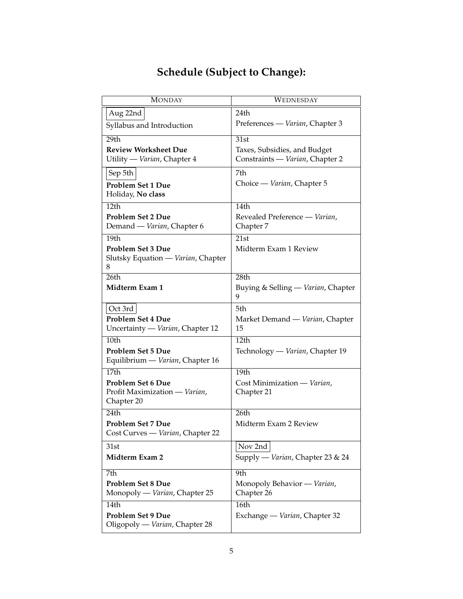|  | <b>Schedule (Subject to Change):</b> |  |
|--|--------------------------------------|--|
|--|--------------------------------------|--|

| $\overline{\mathrm{M}}$ ONDAY      | WEDNESDAY                               |
|------------------------------------|-----------------------------------------|
| Aug 22nd                           | 24th                                    |
| Syllabus and Introduction          | Preferences — Varian, Chapter 3         |
| 29th                               | 31st                                    |
| <b>Review Worksheet Due</b>        | Taxes, Subsidies, and Budget            |
| Utility — Varian, Chapter 4        | Constraints - Varian, Chapter 2         |
| Sep 5th                            | 7th                                     |
| Problem Set 1 Due                  | Choice — Varian, Chapter 5              |
| Holiday, No class                  |                                         |
| 12th                               | 14th                                    |
| <b>Problem Set 2 Due</b>           | Revealed Preference - Varian,           |
| Demand - Varian, Chapter 6         | Chapter 7                               |
| 19 <sub>th</sub>                   | 21st                                    |
| <b>Problem Set 3 Due</b>           | Midterm Exam 1 Review                   |
| Slutsky Equation - Varian, Chapter |                                         |
| 8<br>26th                          | 28th                                    |
| Midterm Exam 1                     |                                         |
|                                    | Buying & Selling — Varian, Chapter<br>9 |
| Oct 3rd                            | 5th                                     |
| <b>Problem Set 4 Due</b>           | Market Demand — Varian, Chapter         |
| Uncertainty — Varian, Chapter 12   | 15                                      |
| 10th                               | 12th                                    |
| <b>Problem Set 5 Due</b>           | Technology — Varian, Chapter 19         |
| Equilibrium — Varian, Chapter 16   |                                         |
| 17 <sub>th</sub>                   | 19th                                    |
| Problem Set 6 Due                  | Cost Minimization - Varian,             |
| Profit Maximization - Varian,      | Chapter 21                              |
| Chapter 20                         |                                         |
| 24th                               | 26th                                    |
| Problem Set 7 Due                  | Midterm Exam 2 Review                   |
| Cost Curves - Varian, Chapter 22   |                                         |
| 31st                               | Nov 2nd                                 |
| Midterm Exam 2                     | Supply - Varian, Chapter 23 & 24        |
| 7th                                | 9th                                     |
| <b>Problem Set 8 Due</b>           | Monopoly Behavior - Varian,             |
| Monopoly — Varian, Chapter 25      | Chapter 26                              |
| 14th                               | 16th                                    |
| Problem Set 9 Due                  | Exchange — Varian, Chapter 32           |
| Oligopoly - Varian, Chapter 28     |                                         |